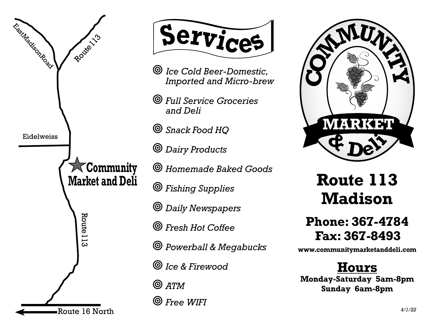



- ¥ *Ice Cold Beer-Domestic, Imported and Micro-brew*
- $\circledcirc$  *Full Service Groceries and Deli*
- ¥ *Snack Food HQ*
- $\circledcirc$  *Dairy Products*
- $\circledcirc$  Homemade Baked Goods
- $\circledcirc$  Fishing Supplies
- $\circledcirc$  *Daily Newspapers*
- $\circledcirc$  *Fresh Hot Coffee*
- ¥ *Powerball & Megabucks*
- ¥ *Ice & Firewood*
- $\odot$   $ATM$
- ¥ *Free WIFI*



## **Route 113 Madison**

## **Phone: 367-4784 Fax: 367-8493**

**www.communitymarketanddeli.com**

**Hours Monday-Saturday 5am-8pm Sunday 6am-8pm**